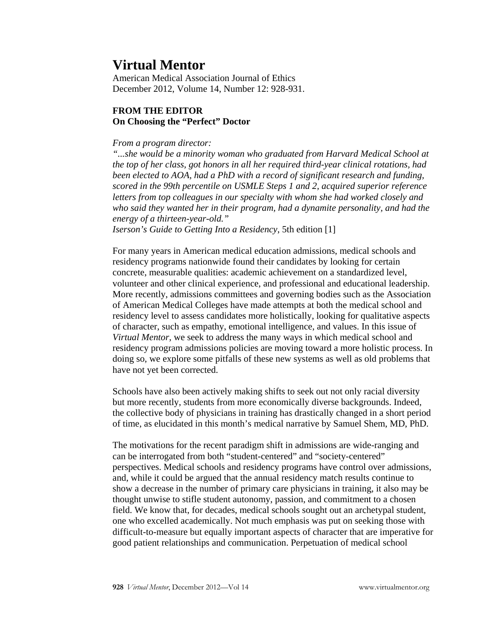## **Virtual Mentor**

American Medical Association Journal of Ethics December 2012, Volume 14, Number 12: 928-931.

## **FROM THE EDITOR On Choosing the "Perfect" Doctor**

## *From a program director:*

*"...she would be a minority woman who graduated from Harvard Medical School at the top of her class, got honors in all her required third-year clinical rotations, had been elected to AOA, had a PhD with a record of significant research and funding, scored in the 99th percentile on USMLE Steps 1 and 2, acquired superior reference letters from top colleagues in our specialty with whom she had worked closely and who said they wanted her in their program, had a dynamite personality, and had the energy of a thirteen-year-old."* 

*Iserson's Guide to Getting Into a Residency*, 5th edition [1]

For many years in American medical education admissions, medical schools and residency programs nationwide found their candidates by looking for certain concrete, measurable qualities: academic achievement on a standardized level, volunteer and other clinical experience, and professional and educational leadership. More recently, admissions committees and governing bodies such as the Association of American Medical Colleges have made attempts at both the medical school and residency level to assess candidates more holistically, looking for qualitative aspects of character, such as empathy, emotional intelligence, and values. In this issue of *Virtual Mentor,* we seek to address the many ways in which medical school and residency program admissions policies are moving toward a more holistic process. In doing so, we explore some pitfalls of these new systems as well as old problems that have not yet been corrected.

Schools have also been actively making shifts to seek out not only racial diversity but more recently, students from more economically diverse backgrounds. Indeed, the collective body of physicians in training has drastically changed in a short period of time, as elucidated in this month's medical narrative by Samuel Shem, MD, PhD.

The motivations for the recent paradigm shift in admissions are wide-ranging and can be interrogated from both "student-centered" and "society-centered" perspectives. Medical schools and residency programs have control over admissions, and, while it could be argued that the annual residency match results continue to show a decrease in the number of primary care physicians in training, it also may be thought unwise to stifle student autonomy, passion, and commitment to a chosen field. We know that, for decades, medical schools sought out an archetypal student, one who excelled academically. Not much emphasis was put on seeking those with difficult-to-measure but equally important aspects of character that are imperative for good patient relationships and communication. Perpetuation of medical school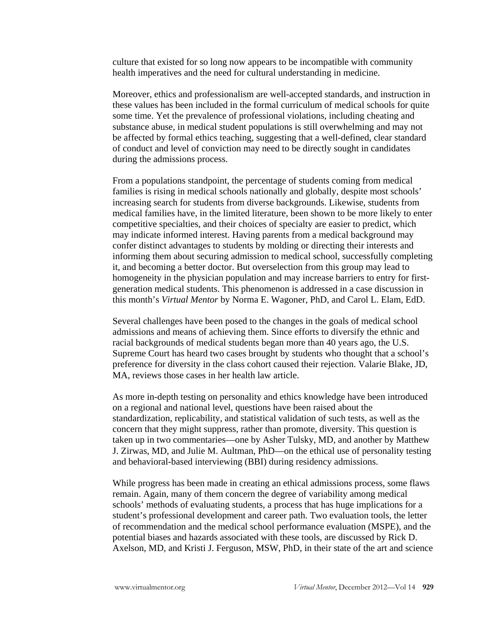culture that existed for so long now appears to be incompatible with community health imperatives and the need for cultural understanding in medicine.

Moreover, ethics and professionalism are well-accepted standards, and instruction in these values has been included in the formal curriculum of medical schools for quite some time. Yet the prevalence of professional violations, including cheating and substance abuse, in medical student populations is still overwhelming and may not be affected by formal ethics teaching, suggesting that a well-defined, clear standard of conduct and level of conviction may need to be directly sought in candidates during the admissions process.

From a populations standpoint, the percentage of students coming from medical families is rising in medical schools nationally and globally, despite most schools' increasing search for students from diverse backgrounds. Likewise, students from medical families have, in the limited literature, been shown to be more likely to enter competitive specialties, and their choices of specialty are easier to predict, which may indicate informed interest. Having parents from a medical background may confer distinct advantages to students by molding or directing their interests and informing them about securing admission to medical school, successfully completing it, and becoming a better doctor. But overselection from this group may lead to homogeneity in the physician population and may increase barriers to entry for firstgeneration medical students. This phenomenon is addressed in a case discussion in this month's *Virtual Mentor* by Norma E. Wagoner, PhD, and Carol L. Elam, EdD.

Several challenges have been posed to the changes in the goals of medical school admissions and means of achieving them. Since efforts to diversify the ethnic and racial backgrounds of medical students began more than 40 years ago, the U.S. Supreme Court has heard two cases brought by students who thought that a school's preference for diversity in the class cohort caused their rejection. Valarie Blake, JD, MA, reviews those cases in her health law article.

As more in-depth testing on personality and ethics knowledge have been introduced on a regional and national level, questions have been raised about the standardization, replicability, and statistical validation of such tests, as well as the concern that they might suppress, rather than promote, diversity. This question is taken up in two commentaries—one by Asher Tulsky, MD, and another by Matthew J. Zirwas, MD, and Julie M. Aultman, PhD—on the ethical use of personality testing and behavioral-based interviewing (BBI) during residency admissions.

While progress has been made in creating an ethical admissions process, some flaws remain. Again, many of them concern the degree of variability among medical schools' methods of evaluating students, a process that has huge implications for a student's professional development and career path. Two evaluation tools, the letter of recommendation and the medical school performance evaluation (MSPE), and the potential biases and hazards associated with these tools, are discussed by Rick D. Axelson, MD, and Kristi J. Ferguson, MSW, PhD, in their state of the art and science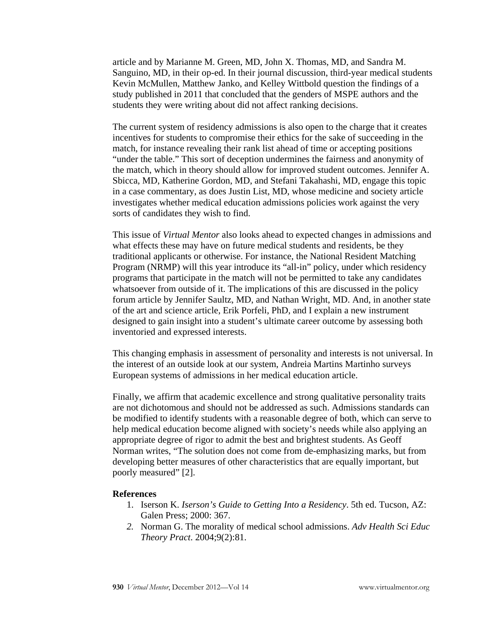article and by Marianne M. Green, MD, John X. Thomas, MD, and Sandra M. Sanguino, MD, in their op-ed. In their journal discussion, third-year medical students Kevin McMullen, Matthew Janko, and Kelley Wittbold question the findings of a study published in 2011 that concluded that the genders of MSPE authors and the students they were writing about did not affect ranking decisions.

The current system of residency admissions is also open to the charge that it creates incentives for students to compromise their ethics for the sake of succeeding in the match, for instance revealing their rank list ahead of time or accepting positions "under the table." This sort of deception undermines the fairness and anonymity of the match, which in theory should allow for improved student outcomes. Jennifer A. Sbicca, MD, Katherine Gordon, MD, and Stefani Takahashi, MD, engage this topic in a case commentary, as does Justin List, MD, whose medicine and society article investigates whether medical education admissions policies work against the very sorts of candidates they wish to find.

This issue of *Virtual Mentor* also looks ahead to expected changes in admissions and what effects these may have on future medical students and residents, be they traditional applicants or otherwise. For instance, the National Resident Matching Program (NRMP) will this year introduce its "all-in" policy, under which residency programs that participate in the match will not be permitted to take any candidates whatsoever from outside of it. The implications of this are discussed in the policy forum article by Jennifer Saultz, MD, and Nathan Wright, MD. And, in another state of the art and science article, Erik Porfeli, PhD, and I explain a new instrument designed to gain insight into a student's ultimate career outcome by assessing both inventoried and expressed interests.

This changing emphasis in assessment of personality and interests is not universal. In the interest of an outside look at our system, Andreia Martins Martinho surveys European systems of admissions in her medical education article.

Finally, we affirm that academic excellence and strong qualitative personality traits are not dichotomous and should not be addressed as such. Admissions standards can be modified to identify students with a reasonable degree of both, which can serve to help medical education become aligned with society's needs while also applying an appropriate degree of rigor to admit the best and brightest students. As Geoff Norman writes, "The solution does not come from de-emphasizing marks, but from developing better measures of other characteristics that are equally important, but poorly measured" [2].

## **References**

- 1. Iserson K. *Iserson's Guide to Getting Into a Residency*. 5th ed. Tucson, AZ: Galen Press; 2000: 367.
- *2.* Norman G. The morality of medical school admissions. *Adv Health Sci Educ Theory Pract*. 2004;9(2):81.